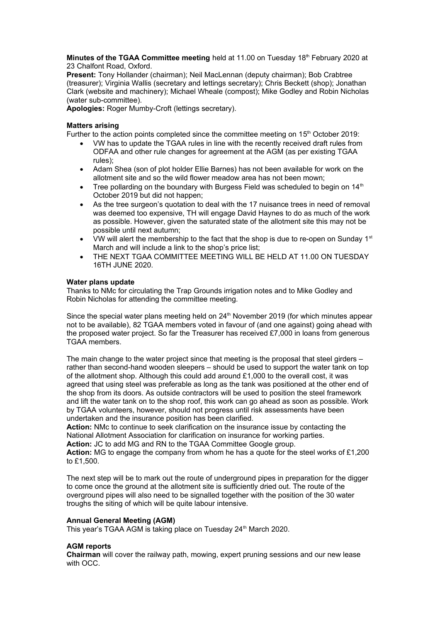**Minutes of the TGAA Committee meeting** held at 11.00 on Tuesday 18<sup>th</sup> February 2020 at 23 Chalfont Road, Oxford.

**Present:** Tony Hollander (chairman); Neil MacLennan (deputy chairman); Bob Crabtree (treasurer); Virginia Wallis (secretary and lettings secretary); Chris Beckett (shop); Jonathan Clark (website and machinery); Michael Wheale (compost); Mike Godley and Robin Nicholas (water sub-committee).

**Apologies:** Roger Mumby-Croft (lettings secretary).

### **Matters arising**

Further to the action points completed since the committee meeting on 15<sup>th</sup> October 2019:

- VW has to update the TGAA rules in line with the recently received draft rules from ODFAA and other rule changes for agreement at the AGM (as per existing TGAA rules);
- Adam Shea (son of plot holder Ellie Barnes) has not been available for work on the allotment site and so the wild flower meadow area has not been mown;
- Tree pollarding on the boundary with Burgess Field was scheduled to begin on 14<sup>th</sup> October 2019 but did not happen;
- As the tree surgeon's quotation to deal with the 17 nuisance trees in need of removal was deemed too expensive, TH will engage David Haynes to do as much of the work as possible. However, given the saturated state of the allotment site this may not be possible until next autumn;
- VW will alert the membership to the fact that the shop is due to re-open on Sunday  $1<sup>st</sup>$ March and will include a link to the shop's price list;
- THE NEXT TGAA COMMITTEE MEETING WILL BE HELD AT 11.00 ON TUESDAY 16TH JUNE 2020.

#### **Water plans update**

Thanks to NMc for circulating the Trap Grounds irrigation notes and to Mike Godley and Robin Nicholas for attending the committee meeting.

Since the special water plans meeting held on 24<sup>th</sup> November 2019 (for which minutes appear not to be available), 82 TGAA members voted in favour of (and one against) going ahead with the proposed water project. So far the Treasurer has received £7,000 in loans from generous TGAA members.

The main change to the water project since that meeting is the proposal that steel girders – rather than second-hand wooden sleepers – should be used to support the water tank on top of the allotment shop. Although this could add around £1,000 to the overall cost, it was agreed that using steel was preferable as long as the tank was positioned at the other end of the shop from its doors. As outside contractors will be used to position the steel framework and lift the water tank on to the shop roof, this work can go ahead as soon as possible. Work by TGAA volunteers, however, should not progress until risk assessments have been undertaken and the insurance position has been clarified.

**Action:** NMc to continue to seek clarification on the insurance issue by contacting the National Allotment Association for clarification on insurance for working parties.

**Action:** JC to add MG and RN to the TGAA Committee Google group.

**Action:** MG to engage the company from whom he has a quote for the steel works of £1,200 to £1,500.

The next step will be to mark out the route of underground pipes in preparation for the digger to come once the ground at the allotment site is sufficiently dried out. The route of the overground pipes will also need to be signalled together with the position of the 30 water troughs the siting of which will be quite labour intensive.

# **Annual General Meeting (AGM)**

This year's TGAA AGM is taking place on Tuesday 24<sup>th</sup> March 2020.

# **AGM reports**

**Chairman** will cover the railway path, mowing, expert pruning sessions and our new lease with OCC.